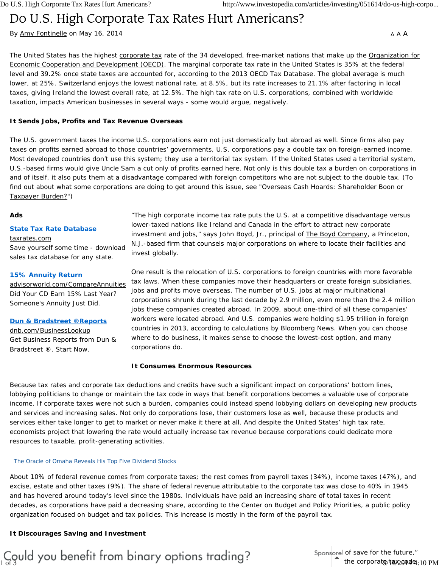# Do U.S. High Corporate Tax Rates Hurt Americans?

By Amy Fontinelle on May 16, 2014

A A A

The United States has the highest corporate tax rate of the 34 developed, free-market nations that make up the Organization for Economic Cooperation and Development (OECD). The marginal corporate tax rate in the United States is 35% at the federal level and 39.2% once state taxes are accounted for, according to the 2013 OECD Tax Database. The global average is much lower, at 25%. Switzerland enjoys the lowest national rate, at 8.5%, but its rate increases to 21.1% after factoring in local taxes, giving Ireland the lowest overall rate, at 12.5%. The high tax rate on U.S. corporations, combined with worldwide taxation, impacts American businesses in several ways - some would argue, negatively.

## **It Sends Jobs, Profits and Tax Revenue Overseas**

The U.S. government taxes the income U.S. corporations earn not just domestically but abroad as well. Since firms also pay taxes on profits earned abroad to those countries' governments, U.S. corporations pay a double tax on foreign-earned income. Most developed countries don't use this system; they use a territorial tax system. If the United States used a territorial system, U.S.-based firms would give Uncle Sam a cut only of profits earned here. Not only is this double tax a burden on corporations in and of itself, it also puts them at a disadvantage compared with foreign competitors who are not subject to the double tax. (To find out about what some corporations are doing to get around this issue, see "Overseas Cash Hoards: Shareholder Boon or Taxpayer Burden?")

### **Ads**

## **State Tax Rate Database**

#### taxrates.com

Save yourself some time - download sales tax database for any state.

### **15% Annuity Return**

advisorworld.com/CompareAnnuities Did Your CD Earn 15% Last Year? Someone's Annuity Just Did.

#### **Dun & Bradstreet ®Reports**

dnb.com/BusinessLookup Get Business Reports from Dun & Bradstreet ®. Start Now.

"The high corporate income tax rate puts the U.S. at a competitive disadvantage versus lower-taxed nations like Ireland and Canada in the effort to attract new corporate investment and jobs," says John Boyd, Jr., principal of The Boyd Company, a Princeton, N.J.-based firm that counsels major corporations on where to locate their facilities and invest globally.

One result is the relocation of U.S. corporations to foreign countries with more favorable tax laws. When these companies move their headquarters or create foreign subsidiaries, jobs and profits move overseas. The number of U.S. jobs at major multinational corporations shrunk during the last decade by 2.9 million, even more than the 2.4 million jobs these companies created abroad. In 2009, about one-third of all these companies' workers were located abroad. And U.S. companies were holding \$1.95 trillion in foreign countries in 2013, according to calculations by Bloomberg News. When you can choose where to do business, it makes sense to choose the lowest-cost option, and many corporations do.

## **It Consumes Enormous Resources**

Because tax rates and corporate tax deductions and credits have such a significant impact on corporations' bottom lines, lobbying politicians to change or maintain the tax code in ways that benefit corporations becomes a valuable use of corporate income. If corporate taxes were not such a burden, companies could instead spend lobbying dollars on developing new products and services and increasing sales. Not only do corporations lose, their customers lose as well, because these products and services either take longer to get to market or never make it there at all. And despite the United States' high tax rate, economists project that lowering the rate would actually increase tax revenue because corporations could dedicate more resources to taxable, profit-generating activities.

#### The Oracle of Omaha Reveals His Top Five Dividend Stocks

About 10% of federal revenue comes from corporate taxes; the rest comes from payroll taxes (34%), income taxes (47%), and excise, estate and other taxes (9%). The share of federal revenue attributable to the corporate tax was close to 40% in 1945 and has hovered around today's level since the 1980s. Individuals have paid an increasing share of total taxes in recent decades, as corporations have paid a decreasing share, according to the Center on Budget and Policy Priorities, a public policy organization focused on budget and tax policies. This increase is mostly in the form of the payroll tax.

## **It Discourages Saving and Investment**

#### "One big issue I have with high corporate taxes is that they encourage business owners to spend instead of save for the future,"  $\frac{1}{3}$  ord  $\frac{1}{2}$  before the comparison of Planning Pod, a comparison of  $\frac{1}{2}$  the corporate tax code **Glossary**  $\frac{1}{\text{of 3}}$  the corporats/tax2004e:10 PM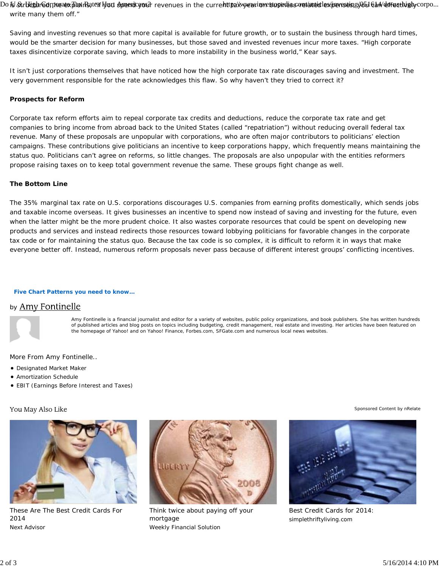Do is Str**bighrGorpwasxBanris**ate**n buri spaeracyo**sir revenues in the curre**httpa/xweariovesiopadiss/wanatedlexperssisje/0516a4/dofusthighycorpo...** write many them off."

Saving and investing revenues so that more capital is available for future growth, or to sustain the business through hard times, would be the smarter decision for many businesses, but those saved and invested revenues incur more taxes. "High corporate taxes disincentivize corporate saving, which leads to more instability in the business world," Kear says.

It isn't just corporations themselves that have noticed how the high corporate tax rate discourages saving and investment. The very government responsible for the rate acknowledges this flaw. So why haven't they tried to correct it?

## **Prospects for Reform**

Corporate tax reform efforts aim to repeal corporate tax credits and deductions, reduce the corporate tax rate and get companies to bring income from abroad back to the United States (called "repatriation") without reducing overall federal tax revenue. Many of these proposals are unpopular with corporations, who are often major contributors to politicians' election campaigns. These contributions give politicians an incentive to keep corporations happy, which frequently means maintaining the status quo. Politicians can't agree on reforms, so little changes. The proposals are also unpopular with the entities reformers propose raising taxes on to keep total government revenue the same. These groups fight change as well.

## **The Bottom Line**

The 35% marginal tax rate on U.S. corporations discourages U.S. companies from earning profits domestically, which sends jobs and taxable income overseas. It gives businesses an incentive to spend now instead of saving and investing for the future, even when the latter might be the more prudent choice. It also wastes corporate resources that could be spent on developing new products and services and instead redirects those resources toward lobbying politicians for favorable changes in the corporate tax code or for maintaining the status quo. Because the tax code is so complex, it is difficult to reform it in ways that make everyone better off. Instead, numerous reform proposals never pass because of different interest groups' conflicting incentives.

#### **Five Chart Patterns you need to know…**

## by Amy Fontinelle



Amy Fontinelle is a financial journalist and editor for a variety of websites, public policy organizations, and book publishers. She has written hundreds of published articles and blog posts on topics including budgeting, credit management, real estate and investing. Her articles have been featured on the homepage of Yahoo! and on Yahoo! Finance, Forbes.com, SFGate.com and numerous local news websites.

More From Amy Fontinelle..

- Designated Market Maker
- Amortization Schedule
- EBIT (Earnings Before Interest and Taxes)

## You May Also Like



These Are The Best Credit Cards For 2014 Next Advisor



Think twice about paying off your mortgage Weekly Financial Solution

Sponsored Content by nRelate



Best Credit Cards for 2014: simplethriftyliving.com